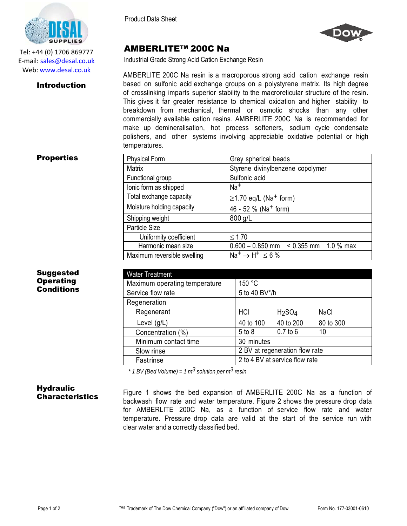



## AMBERLITE™ 200C Na

Industrial Grade Strong Acid Cation Exchange Resin

AMBERLITE 200C Na resin is a macroporous strong acid cation exchange resin based on sulfonic acid exchange groups on a polystyrene matrix. Its high degree of crosslinking imparts superior stability to the macroreticular structure of the resin. This gives it far greater resistance to chemical oxidation and higher stability to breakdown from mechanical, thermal or osmotic shocks than any other commercially available cation resins. AMBERLITE 200C Na is recommended for make up demineralisation, hot process softeners, sodium cycle condensate polishers, and other systems involving appreciable oxidative potential or high temperatures.

### **Properties**

Suggested **Operating** Conditions

Introduction

Tel: +44 (0) 1706 869777 E‐mail: sales@desal.co.uk Web: www.desal.co.uk

| <b>Physical Form</b>        | Grey spherical beads                         |
|-----------------------------|----------------------------------------------|
| <b>Matrix</b>               | Styrene divinylbenzene copolymer             |
| Functional group            | Sulfonic acid                                |
| lonic form as shipped       | $Na+$                                        |
| Total exchange capacity     | $\geq$ 1.70 eq/L (Na <sup>+</sup> form)      |
| Moisture holding capacity   | 46 - 52 % (Na <sup>+</sup> form)             |
| Shipping weight             | 800 g/L                                      |
| Particle Size               |                                              |
| Uniformity coefficient      | $\leq 1.70$                                  |
| Harmonic mean size          | $0.600 - 0.850$ mm $\leq 0.355$ mm 1.0 % max |
| Maximum reversible swelling | $Na^+ \rightarrow H^+ \leq 6\%$              |

| <b>Water Treatment</b>        |                                |                                |             |
|-------------------------------|--------------------------------|--------------------------------|-------------|
| Maximum operating temperature | 150 °C                         |                                |             |
| Service flow rate             | 5 to 40 BV*/h                  |                                |             |
| Regeneration                  |                                |                                |             |
| Regenerant                    | HCI                            | H <sub>2</sub> SO <sub>4</sub> | <b>NaCl</b> |
| Level $(g/L)$                 | 40 to 100                      | 40 to 200                      | 80 to 300   |
| Concentration (%)             | 5 to 8                         | $0.7$ to $6$                   | 10          |
| Minimum contact time          | 30 minutes                     |                                |             |
| Slow rinse                    | 2 BV at regeneration flow rate |                                |             |
| Fastrinse                     | 2 to 4 BV at service flow rate |                                |             |

*\* 1 BV (Bed Volume) = 1 m3 solution per m3 resin*

# **Hydraulic**

**Characteristics** Figure 1 shows the bed expansion of AMBERLITE 200C Na as a function of backwash flow rate and water temperature. Figure 2 shows the pressure drop data for AMBERLITE 200C Na, as a function of service flow rate and water temperature. Pressure drop data are valid at the start of the service run with clear water and a correctly classified bed.